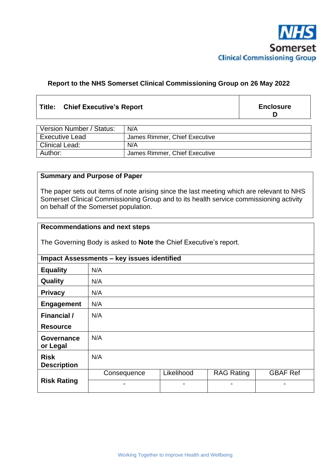

## **Report to the NHS Somerset Clinical Commissioning Group on 26 May 2022**

## **Title: Chief Executive's Report**

**Enclosure D**

| Version Number / Status: | N/A                           |  |
|--------------------------|-------------------------------|--|
| <b>Executive Lead</b>    | James Rimmer, Chief Executive |  |
| Clinical Lead:           | N/A                           |  |
| Author:                  | James Rimmer, Chief Executive |  |

## **Summary and Purpose of Paper**

The paper sets out items of note arising since the last meeting which are relevant to NHS Somerset Clinical Commissioning Group and to its health service commissioning activity on behalf of the Somerset population.

## **Recommendations and next steps**

The Governing Body is asked to **Note** the Chief Executive's report.

| <b>Impact Assessments - key issues identified</b> |             |                |                   |                 |  |  |
|---------------------------------------------------|-------------|----------------|-------------------|-----------------|--|--|
| <b>Equality</b>                                   | N/A         |                |                   |                 |  |  |
| Quality                                           | N/A         |                |                   |                 |  |  |
| <b>Privacy</b>                                    | N/A         |                |                   |                 |  |  |
| <b>Engagement</b>                                 | N/A         |                |                   |                 |  |  |
| <b>Financial /</b>                                | N/A         |                |                   |                 |  |  |
| <b>Resource</b>                                   |             |                |                   |                 |  |  |
| <b>Governance</b><br>or Legal                     | N/A         |                |                   |                 |  |  |
| <b>Risk</b><br><b>Description</b>                 | N/A         |                |                   |                 |  |  |
| <b>Risk Rating</b>                                | Consequence | Likelihood     | <b>RAG Rating</b> | <b>GBAF Ref</b> |  |  |
|                                                   | -           | $\blacksquare$ |                   |                 |  |  |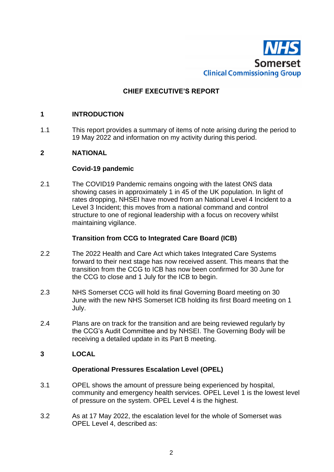

# **CHIEF EXECUTIVE'S REPORT**

#### **1 INTRODUCTION**

1.1 This report provides a summary of items of note arising during the period to 19 May 2022 and information on my activity during this period.

## **2 NATIONAL**

#### **Covid-19 pandemic**

2.1 The COVID19 Pandemic remains ongoing with the latest ONS data showing cases in approximately 1 in 45 of the UK population. In light of rates dropping, NHSEI have moved from an National Level 4 Incident to a Level 3 Incident; this moves from a national command and control structure to one of regional leadership with a focus on recovery whilst maintaining vigilance.

#### **Transition from CCG to Integrated Care Board (ICB)**

- 2.2 The 2022 Health and Care Act which takes Integrated Care Systems forward to their next stage has now received assent. This means that the transition from the CCG to ICB has now been confirmed for 30 June for the CCG to close and 1 July for the ICB to begin.
- 2.3 NHS Somerset CCG will hold its final Governing Board meeting on 30 June with the new NHS Somerset ICB holding its first Board meeting on 1 July.
- 2.4 Plans are on track for the transition and are being reviewed regularly by the CCG's Audit Committee and by NHSEI. The Governing Body will be receiving a detailed update in its Part B meeting.

## **3 LOCAL**

#### **Operational Pressures Escalation Level (OPEL)**

- 3.1 OPEL shows the amount of pressure being experienced by hospital, community and emergency health services. OPEL Level 1 is the lowest level of pressure on the system. OPEL Level 4 is the highest.
- 3.2 As at 17 May 2022, the escalation level for the whole of Somerset was OPEL Level 4, described as: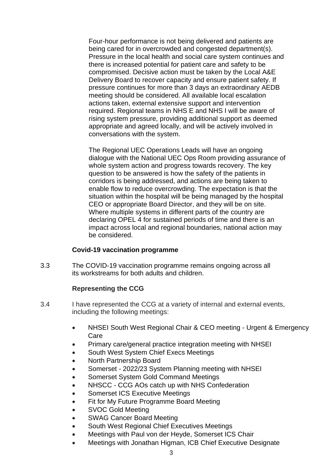Four-hour performance is not being delivered and patients are being cared for in overcrowded and congested department(s). Pressure in the local health and social care system continues and there is increased potential for patient care and safety to be compromised. Decisive action must be taken by the Local A&E Delivery Board to recover capacity and ensure patient safety. If pressure continues for more than 3 days an extraordinary AEDB meeting should be considered. All available local escalation actions taken, external extensive support and intervention required. Regional teams in NHS E and NHS I will be aware of rising system pressure, providing additional support as deemed appropriate and agreed locally, and will be actively involved in conversations with the system.

The Regional UEC Operations Leads will have an ongoing dialogue with the National UEC Ops Room providing assurance of whole system action and progress towards recovery. The key question to be answered is how the safety of the patients in corridors is being addressed, and actions are being taken to enable flow to reduce overcrowding. The expectation is that the situation within the hospital will be being managed by the hospital CEO or appropriate Board Director, and they will be on site. Where multiple systems in different parts of the country are declaring OPEL 4 for sustained periods of time and there is an impact across local and regional boundaries, national action may be considered.

#### **Covid-19 vaccination programme**

3.3 The COVID-19 vaccination programme remains ongoing across all its workstreams for both adults and children.

#### **Representing the CCG**

- 3.4 I have represented the CCG at a variety of internal and external events, including the following meetings:
	- NHSEI South West Regional Chair & CEO meeting Urgent & Emergency Care
	- Primary care/general practice integration meeting with NHSEI
	- South West System Chief Execs Meetings
	- North Partnership Board
	- Somerset 2022/23 System Planning meeting with NHSEI
	- Somerset System Gold Command Meetings
	- NHSCC CCG AOs catch up with NHS Confederation
	- Somerset ICS Executive Meetings
	- Fit for My Future Programme Board Meeting
	- SVOC Gold Meeting
	- SWAG Cancer Board Meeting
	- South West Regional Chief Executives Meetings
	- Meetings with Paul von der Heyde, Somerset ICS Chair
	- Meetings with Jonathan Higman, ICB Chief Executive Designate